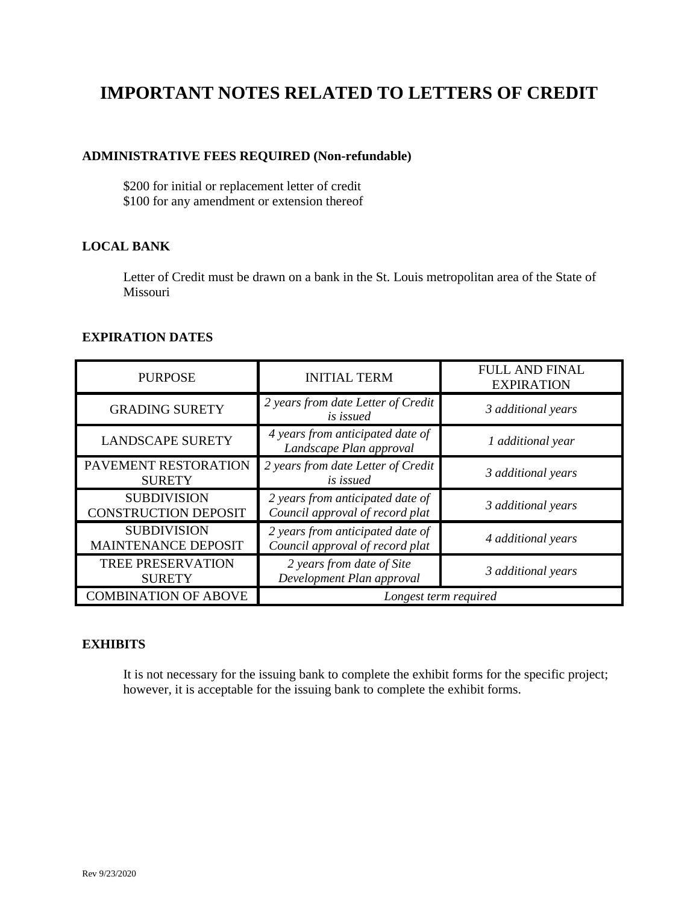# **IMPORTANT NOTES RELATED TO LETTERS OF CREDIT**

# **ADMINISTRATIVE FEES REQUIRED (Non-refundable)**

\$200 for initial or replacement letter of credit \$100 for any amendment or extension thereof

# **LOCAL BANK**

Letter of Credit must be drawn on a bank in the St. Louis metropolitan area of the State of Missouri

#### **EXPIRATION DATES**

| <b>PURPOSE</b>                                    | <b>INITIAL TERM</b>                                                 | <b>FULL AND FINAL</b><br><b>EXPIRATION</b> |  |  |
|---------------------------------------------------|---------------------------------------------------------------------|--------------------------------------------|--|--|
| <b>GRADING SURETY</b>                             | 2 years from date Letter of Credit<br><i>is issued</i>              | 3 additional years                         |  |  |
| <b>LANDSCAPE SURETY</b>                           | 4 years from anticipated date of<br>Landscape Plan approval         | 1 additional year                          |  |  |
| PAVEMENT RESTORATION<br><b>SURETY</b>             | 2 years from date Letter of Credit<br>is issued                     | 3 additional years                         |  |  |
| <b>SUBDIVISION</b><br><b>CONSTRUCTION DEPOSIT</b> | 2 years from anticipated date of<br>Council approval of record plat | 3 additional years                         |  |  |
| <b>SUBDIVISION</b><br><b>MAINTENANCE DEPOSIT</b>  | 2 years from anticipated date of<br>Council approval of record plat | 4 additional years                         |  |  |
| TREE PRESERVATION<br><b>SURETY</b>                | 2 years from date of Site<br>Development Plan approval              | 3 additional years                         |  |  |
| <b>COMBINATION OF ABOVE</b>                       |                                                                     | Longest term required                      |  |  |

#### **EXHIBITS**

It is not necessary for the issuing bank to complete the exhibit forms for the specific project; however, it is acceptable for the issuing bank to complete the exhibit forms.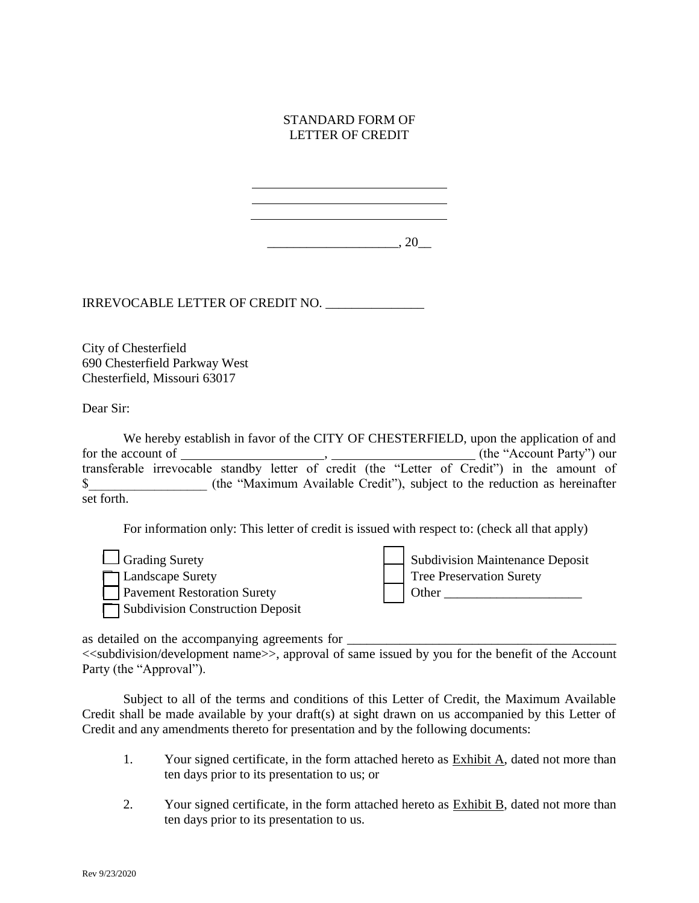#### STANDARD FORM OF LETTER OF CREDIT

\_\_\_\_\_\_\_\_\_\_\_\_\_\_\_\_\_\_\_\_, 20\_\_

IRREVOCABLE LETTER OF CREDIT NO. \_\_\_\_\_\_\_\_\_\_\_\_\_\_\_

City of Chesterfield 690 Chesterfield Parkway West Chesterfield, Missouri 63017

Dear Sir:

We hereby establish in favor of the CITY OF CHESTERFIELD, upon the application of and for the account of , (the "Account Party") our transferable irrevocable standby letter of credit (the "Letter of Credit") in the amount of \$ (the "Maximum Available Credit"), subject to the reduction as hereinafter set forth.

For information only: This letter of credit is issued with respect to: (check all that apply)

 $\Box$  Grading Surety Landscape Surety □ Pavement Restoration Surety □ Subdivision Construction Deposit Subdivision Maintenance Deposit Tree Preservation Surety □ Other \_\_\_\_\_\_\_\_\_\_\_\_\_\_\_\_\_\_\_\_\_

as detailed on the accompanying agreements for \_\_\_\_\_\_\_\_\_\_\_\_\_\_\_\_\_\_\_\_\_\_\_\_\_\_\_\_\_\_\_\_\_\_

<<subdivision/development name>>, approval of same issued by you for the benefit of the Account Party (the "Approval").

Subject to all of the terms and conditions of this Letter of Credit, the Maximum Available Credit shall be made available by your draft(s) at sight drawn on us accompanied by this Letter of Credit and any amendments thereto for presentation and by the following documents:

- 1. Your signed certificate, in the form attached hereto as Exhibit A, dated not more than ten days prior to its presentation to us; or
- 2. Your signed certificate, in the form attached hereto as Exhibit B, dated not more than ten days prior to its presentation to us.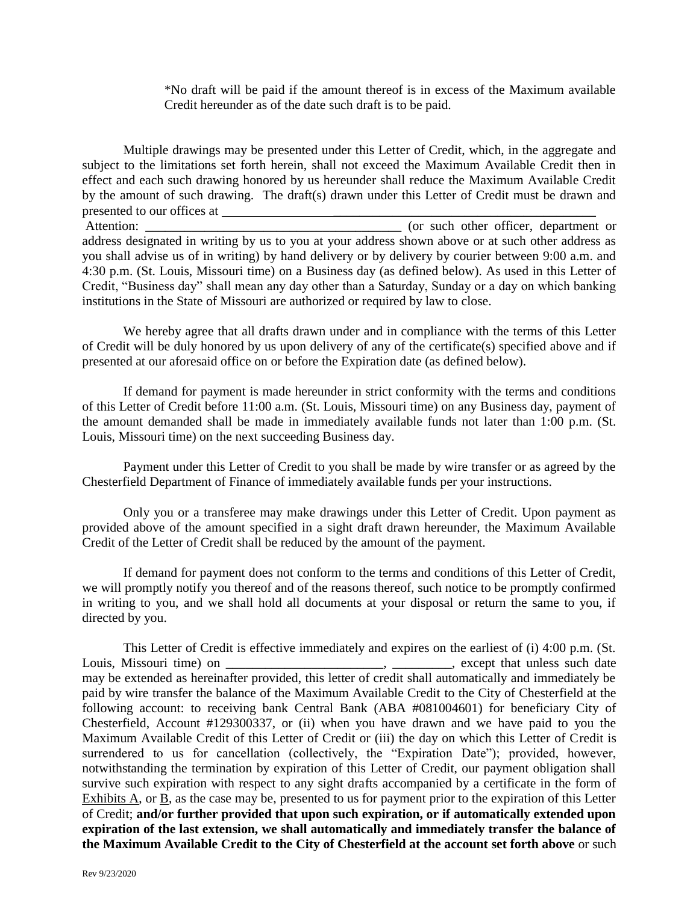\*No draft will be paid if the amount thereof is in excess of the Maximum available Credit hereunder as of the date such draft is to be paid.

Multiple drawings may be presented under this Letter of Credit, which, in the aggregate and subject to the limitations set forth herein, shall not exceed the Maximum Available Credit then in effect and each such drawing honored by us hereunder shall reduce the Maximum Available Credit by the amount of such drawing. The draft(s) drawn under this Letter of Credit must be drawn and presented to our offices at

Attention: \_\_\_\_\_\_\_\_\_\_\_\_\_\_\_\_\_\_\_\_\_\_\_\_\_\_\_\_\_\_\_\_\_\_\_\_\_\_\_ (or such other officer, department or address designated in writing by us to you at your address shown above or at such other address as you shall advise us of in writing) by hand delivery or by delivery by courier between 9:00 a.m. and 4:30 p.m. (St. Louis, Missouri time) on a Business day (as defined below). As used in this Letter of Credit, "Business day" shall mean any day other than a Saturday, Sunday or a day on which banking institutions in the State of Missouri are authorized or required by law to close.

We hereby agree that all drafts drawn under and in compliance with the terms of this Letter of Credit will be duly honored by us upon delivery of any of the certificate(s) specified above and if presented at our aforesaid office on or before the Expiration date (as defined below).

If demand for payment is made hereunder in strict conformity with the terms and conditions of this Letter of Credit before 11:00 a.m. (St. Louis, Missouri time) on any Business day, payment of the amount demanded shall be made in immediately available funds not later than 1:00 p.m. (St. Louis, Missouri time) on the next succeeding Business day.

Payment under this Letter of Credit to you shall be made by wire transfer or as agreed by the Chesterfield Department of Finance of immediately available funds per your instructions.

Only you or a transferee may make drawings under this Letter of Credit. Upon payment as provided above of the amount specified in a sight draft drawn hereunder, the Maximum Available Credit of the Letter of Credit shall be reduced by the amount of the payment.

If demand for payment does not conform to the terms and conditions of this Letter of Credit, we will promptly notify you thereof and of the reasons thereof, such notice to be promptly confirmed in writing to you, and we shall hold all documents at your disposal or return the same to you, if directed by you.

This Letter of Credit is effective immediately and expires on the earliest of (i) 4:00 p.m. (St. Louis, Missouri time) on \_\_\_\_\_\_\_\_\_\_\_\_\_\_\_\_\_\_\_\_\_\_\_, except that unless such date may be extended as hereinafter provided, this letter of credit shall automatically and immediately be paid by wire transfer the balance of the Maximum Available Credit to the City of Chesterfield at the following account: to receiving bank Central Bank (ABA #081004601) for beneficiary City of Chesterfield, Account #129300337, or (ii) when you have drawn and we have paid to you the Maximum Available Credit of this Letter of Credit or (iii) the day on which this Letter of Credit is surrendered to us for cancellation (collectively, the "Expiration Date"); provided, however, notwithstanding the termination by expiration of this Letter of Credit, our payment obligation shall survive such expiration with respect to any sight drafts accompanied by a certificate in the form of Exhibits A, or B, as the case may be, presented to us for payment prior to the expiration of this Letter of Credit; **and/or further provided that upon such expiration, or if automatically extended upon expiration of the last extension, we shall automatically and immediately transfer the balance of the Maximum Available Credit to the City of Chesterfield at the account set forth above** or such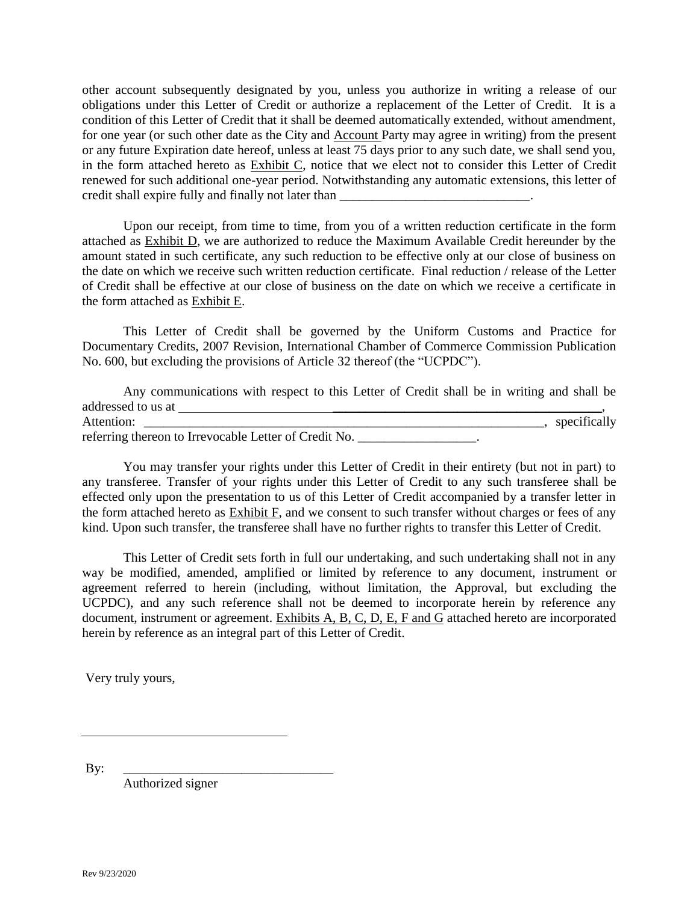other account subsequently designated by you, unless you authorize in writing a release of our obligations under this Letter of Credit or authorize a replacement of the Letter of Credit. It is a condition of this Letter of Credit that it shall be deemed automatically extended, without amendment, for one year (or such other date as the City and Account Party may agree in writing) from the present or any future Expiration date hereof, unless at least 75 days prior to any such date, we shall send you, in the form attached hereto as Exhibit C, notice that we elect not to consider this Letter of Credit renewed for such additional one-year period. Notwithstanding any automatic extensions, this letter of credit shall expire fully and finally not later than

Upon our receipt, from time to time, from you of a written reduction certificate in the form attached as Exhibit D, we are authorized to reduce the Maximum Available Credit hereunder by the amount stated in such certificate, any such reduction to be effective only at our close of business on the date on which we receive such written reduction certificate. Final reduction / release of the Letter of Credit shall be effective at our close of business on the date on which we receive a certificate in the form attached as Exhibit E.

This Letter of Credit shall be governed by the Uniform Customs and Practice for Documentary Credits, 2007 Revision, International Chamber of Commerce Commission Publication No. 600, but excluding the provisions of Article 32 thereof (the "UCPDC").

|                    | Any communications with respect to this Letter of Credit shall be in writing and shall be |  |  |  |  |  |              |  |
|--------------------|-------------------------------------------------------------------------------------------|--|--|--|--|--|--------------|--|
| addressed to us at |                                                                                           |  |  |  |  |  |              |  |
| Attention:         |                                                                                           |  |  |  |  |  | specifically |  |
|                    | referring thereon to Irrevocable Letter of Credit No.                                     |  |  |  |  |  |              |  |

You may transfer your rights under this Letter of Credit in their entirety (but not in part) to any transferee. Transfer of your rights under this Letter of Credit to any such transferee shall be effected only upon the presentation to us of this Letter of Credit accompanied by a transfer letter in the form attached hereto as  $Exhibit F$ , and we consent to such transfer without charges or fees of any kind. Upon such transfer, the transferee shall have no further rights to transfer this Letter of Credit.

This Letter of Credit sets forth in full our undertaking, and such undertaking shall not in any way be modified, amended, amplified or limited by reference to any document, instrument or agreement referred to herein (including, without limitation, the Approval, but excluding the UCPDC), and any such reference shall not be deemed to incorporate herein by reference any document, instrument or agreement. Exhibits A, B, C, D, E, F and G attached hereto are incorporated herein by reference as an integral part of this Letter of Credit.

Very truly yours,

By: \_\_\_\_\_\_\_\_\_\_\_\_\_\_\_\_\_\_\_\_\_\_\_\_\_\_\_\_\_\_\_\_

Authorized signer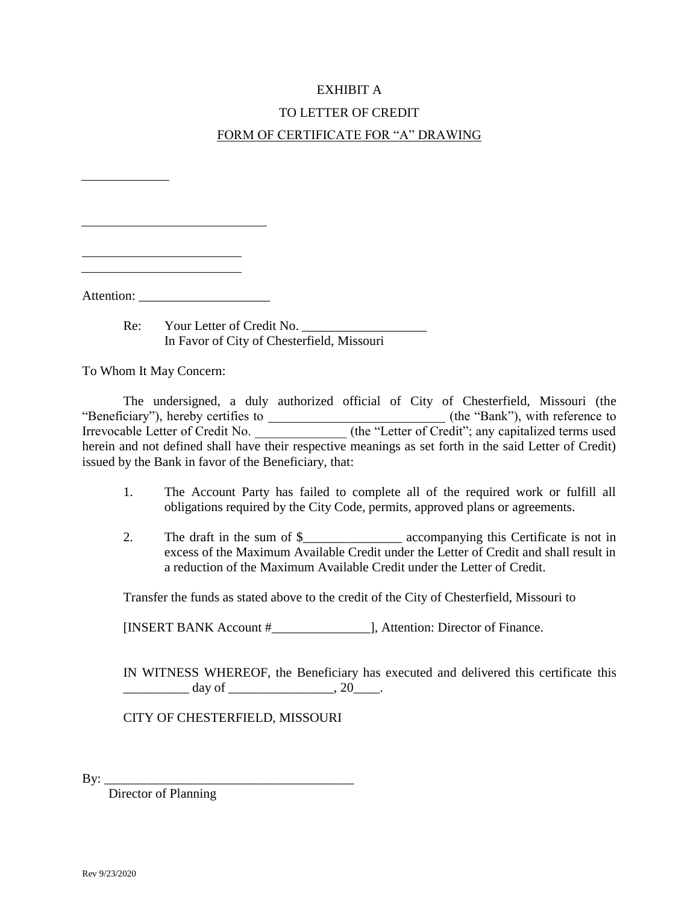### EXHIBIT A

# TO LETTER OF CREDIT FORM OF CERTIFICATE FOR "A" DRAWING

Attention:

Re: Your Letter of Credit No. In Favor of City of Chesterfield, Missouri

To Whom It May Concern:

The undersigned, a duly authorized official of City of Chesterfield, Missouri (the "Beneficiary"), hereby certifies to (the "Bank"), with reference to Irrevocable Letter of Credit No. \_\_\_\_\_\_\_\_\_\_\_\_\_\_\_\_ (the "Letter of Credit"; any capitalized terms used herein and not defined shall have their respective meanings as set forth in the said Letter of Credit) issued by the Bank in favor of the Beneficiary, that:

- 1. The Account Party has failed to complete all of the required work or fulfill all obligations required by the City Code, permits, approved plans or agreements.
- 2. The draft in the sum of \$\_\_\_\_\_\_\_\_\_\_\_\_\_\_\_ accompanying this Certificate is not in excess of the Maximum Available Credit under the Letter of Credit and shall result in a reduction of the Maximum Available Credit under the Letter of Credit.

Transfer the funds as stated above to the credit of the City of Chesterfield, Missouri to

[INSERT BANK Account #\_\_\_\_\_\_\_\_\_\_\_\_\_\_\_], Attention: Director of Finance.

IN WITNESS WHEREOF, the Beneficiary has executed and delivered this certificate this  $\frac{day \text{ of }_{x \text{ of }_{x \text{ of }_{x \text{ of }_{x \text{ of }_{x \text{ of }_{x \text{ of }_{x \text{ of }_{x \text{ of }_{x \text{ of }_{x \text{ of }_{x \text{ of }_{x \text{ of }_{x \text{ of }_{x \text{ of }_{x \text{ of }_{x \text{ of }_{x \text{ of }_{x \text{ of }_{x \text{ of }_{x \text{ of }_{x \text{ of }_{x \text{ of }_{x \text{ of }_{x \text{ of }_{x \text{ of }_{x \text{ of }_{x \text{ of }_{x \text{ of }_{x \text{ of }_{x \text{ of }_{$ 

CITY OF CHESTERFIELD, MISSOURI

By: \_\_\_\_\_\_\_\_\_\_\_\_\_\_\_\_\_\_\_\_\_\_\_\_\_\_\_\_\_\_\_\_\_\_\_\_\_\_

Director of Planning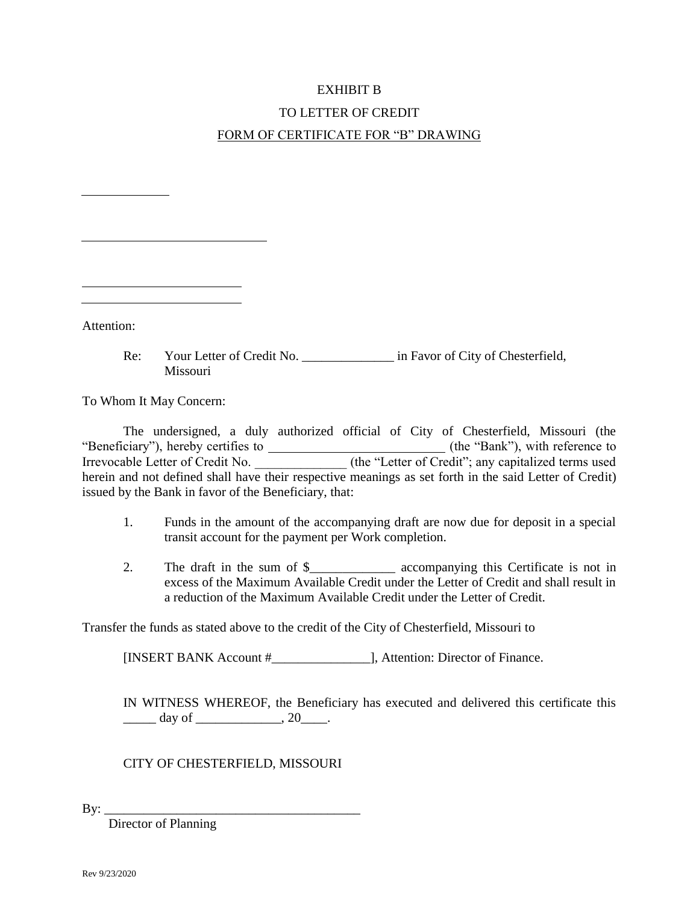# EXHIBIT B

# TO LETTER OF CREDIT FORM OF CERTIFICATE FOR "B" DRAWING

Attention:

Re: Your Letter of Credit No. \_\_\_\_\_\_\_\_\_\_\_\_\_\_\_\_\_ in Favor of City of Chesterfield, Missouri

To Whom It May Concern:

The undersigned, a duly authorized official of City of Chesterfield, Missouri (the "Beneficiary"), hereby certifies to (the "Bank"), with reference to Irrevocable Letter of Credit No. \_\_\_\_\_\_\_\_\_\_\_\_\_\_\_\_ (the "Letter of Credit"; any capitalized terms used herein and not defined shall have their respective meanings as set forth in the said Letter of Credit) issued by the Bank in favor of the Beneficiary, that:

- 1. Funds in the amount of the accompanying draft are now due for deposit in a special transit account for the payment per Work completion.
- 2. The draft in the sum of \$\_\_\_\_\_\_\_\_\_\_\_\_\_ accompanying this Certificate is not in excess of the Maximum Available Credit under the Letter of Credit and shall result in a reduction of the Maximum Available Credit under the Letter of Credit.

Transfer the funds as stated above to the credit of the City of Chesterfield, Missouri to

[INSERT BANK Account #\_\_\_\_\_\_\_\_\_\_\_\_\_\_\_], Attention: Director of Finance.

IN WITNESS WHEREOF, the Beneficiary has executed and delivered this certificate this  $\frac{day \text{ of }$  \_\_\_\_\_\_\_\_\_\_\_\_\_\_\_\_\_, 20\_\_\_\_.

CITY OF CHESTERFIELD, MISSOURI

By: \_\_\_\_\_\_\_\_\_\_\_\_\_\_\_\_\_\_\_\_\_\_\_\_\_\_\_\_\_\_\_\_\_\_\_\_\_\_\_

Director of Planning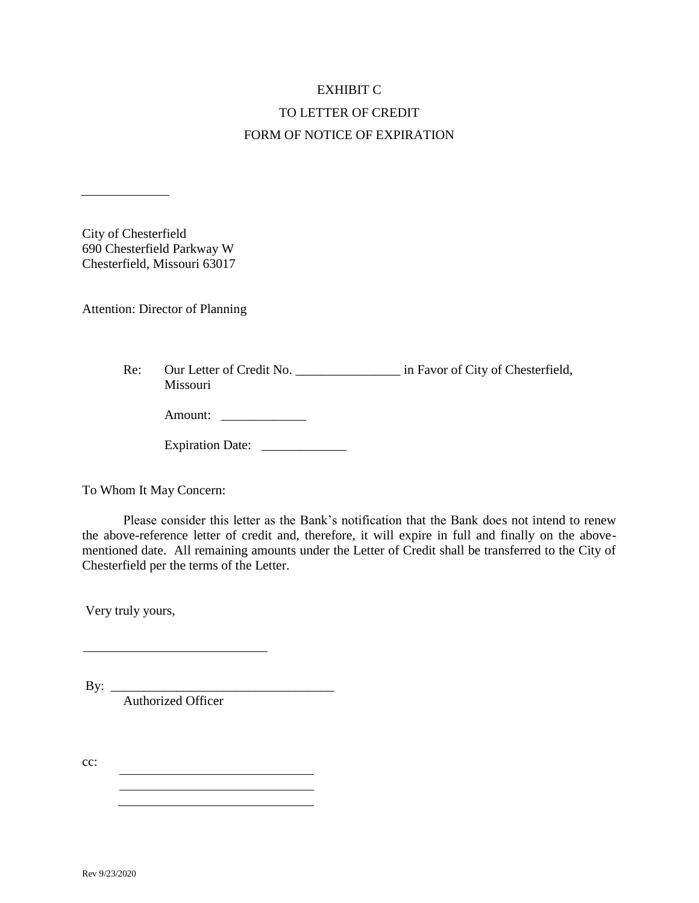# EXHIBIT C TO LETTER OF CREDIT FORM OF NOTICE OF EXPIRATION

City of Chesterfield 690 Chesterfield Parkway W Chesterfield, Missouri 63017

Attention: Director of Planning

Re: Our Letter of Credit No. \_\_\_\_\_\_\_\_\_\_\_\_\_\_\_\_\_\_\_\_ in Favor of City of Chesterfield, Missouri

| Amount: |  |
|---------|--|
|---------|--|

| <b>Expiration Date:</b> |  |
|-------------------------|--|
|-------------------------|--|

To Whom It May Concern:

Please consider this letter as the Bank's notification that the Bank does not intend to renew the above-reference letter of credit and, therefore, it will expire in full and finally on the abovementioned date. All remaining amounts under the Letter of Credit shall be transferred to the City of Chesterfield per the terms of the Letter.

Very truly yours,

By:  $\_\_$ Authorized Officer

cc: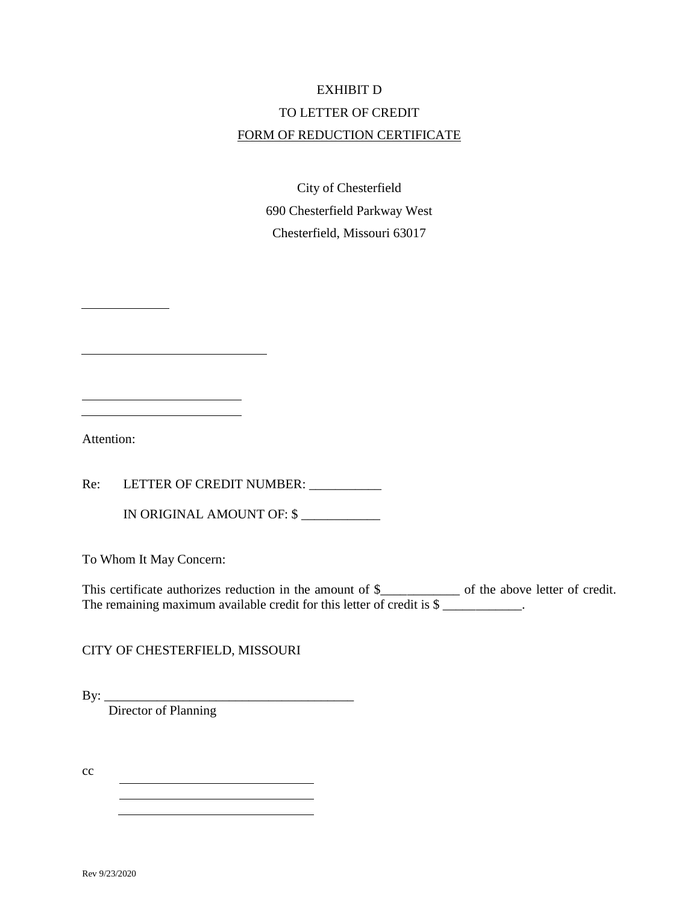# EXHIBIT D TO LETTER OF CREDIT FORM OF REDUCTION CERTIFICATE

City of Chesterfield 690 Chesterfield Parkway West Chesterfield, Missouri 63017

Attention:

Re: LETTER OF CREDIT NUMBER: \_\_\_\_\_\_

IN ORIGINAL AMOUNT OF: \$ \_\_\_\_\_\_\_\_\_\_\_\_

To Whom It May Concern:

This certificate authorizes reduction in the amount of \$\_\_\_\_\_\_\_\_\_\_\_\_\_\_ of the above letter of credit. The remaining maximum available credit for this letter of credit is \$

CITY OF CHESTERFIELD, MISSOURI

<u> 1989 - Johann Stoff, deutscher Stoffen und der Stoffen und der Stoffen und der Stoffen und der Stoffen und d</u>

 $By: \_$ 

Director of Planning

cc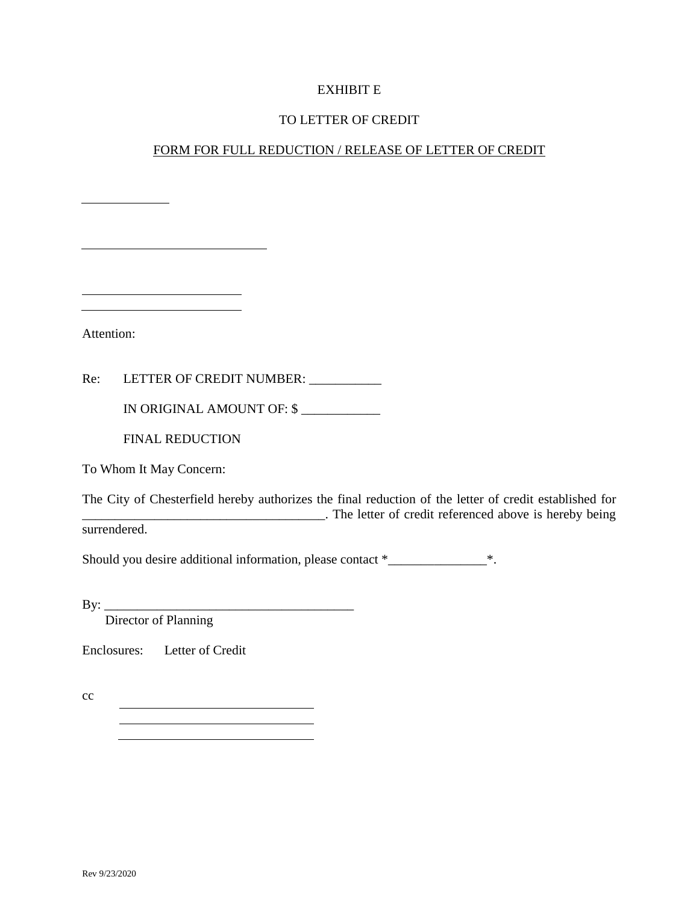#### EXHIBIT E

#### TO LETTER OF CREDIT

# FORM FOR FULL REDUCTION / RELEASE OF LETTER OF CREDIT

Attention:

Re: LETTER OF CREDIT NUMBER: \_\_\_\_\_\_\_\_\_\_

IN ORIGINAL AMOUNT OF: \$ \_\_\_\_\_\_\_\_\_\_\_\_

FINAL REDUCTION

To Whom It May Concern:

The City of Chesterfield hereby authorizes the final reduction of the letter of credit established for \_\_\_\_\_\_\_\_\_\_\_\_\_\_\_\_\_\_\_\_\_\_\_\_\_\_\_\_\_\_\_\_\_\_\_\_\_. The letter of credit referenced above is hereby being surrendered.

Should you desire additional information, please contact \*\_\_\_\_\_\_\_\_\_\_\_\_\_\_\_\_\_\_\_\_\_\*.

By: \_\_\_\_\_\_\_\_\_\_\_\_\_\_\_\_\_\_\_\_\_\_\_\_\_\_\_\_\_\_\_\_\_\_\_\_\_\_

Director of Planning

Enclosures: Letter of Credit

cc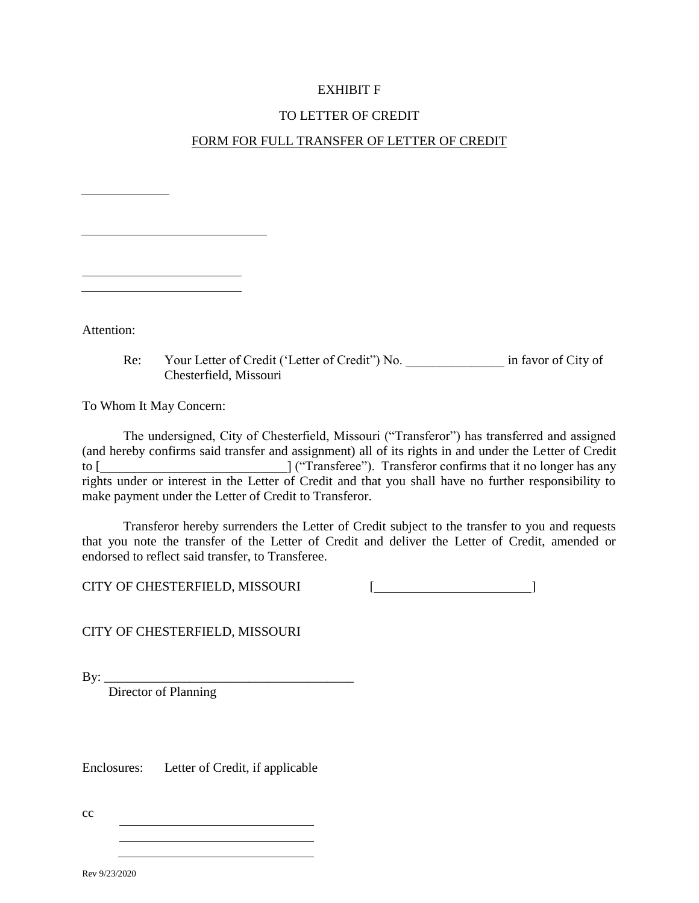### EXHIBIT F

# TO LETTER OF CREDIT

# FORM FOR FULL TRANSFER OF LETTER OF CREDIT

| Attention: |  |
|------------|--|

Re: Your Letter of Credit ('Letter of Credit'') No. \_\_\_\_\_\_\_\_\_\_\_\_\_\_\_\_\_\_\_\_\_\_\_\_\_\_\_\_\_ in favor of City of Chesterfield, Missouri

To Whom It May Concern:

The undersigned, City of Chesterfield, Missouri ("Transferor") has transferred and assigned (and hereby confirms said transfer and assignment) all of its rights in and under the Letter of Credit to [ ] ("Transferee"). Transferor confirms that it no longer has any rights under or interest in the Letter of Credit and that you shall have no further responsibility to make payment under the Letter of Credit to Transferor.

Transferor hereby surrenders the Letter of Credit subject to the transfer to you and requests that you note the transfer of the Letter of Credit and deliver the Letter of Credit, amended or endorsed to reflect said transfer, to Transferee.

CITY OF CHESTERFIELD, MISSOURI [ **[** [ **]** 

CITY OF CHESTERFIELD, MISSOURI

By: \_\_\_\_\_\_\_\_\_\_\_\_\_\_\_\_\_\_\_\_\_\_\_\_\_\_\_\_\_\_\_\_\_\_\_\_\_\_

Director of Planning

Enclosures: Letter of Credit, if applicable

cc